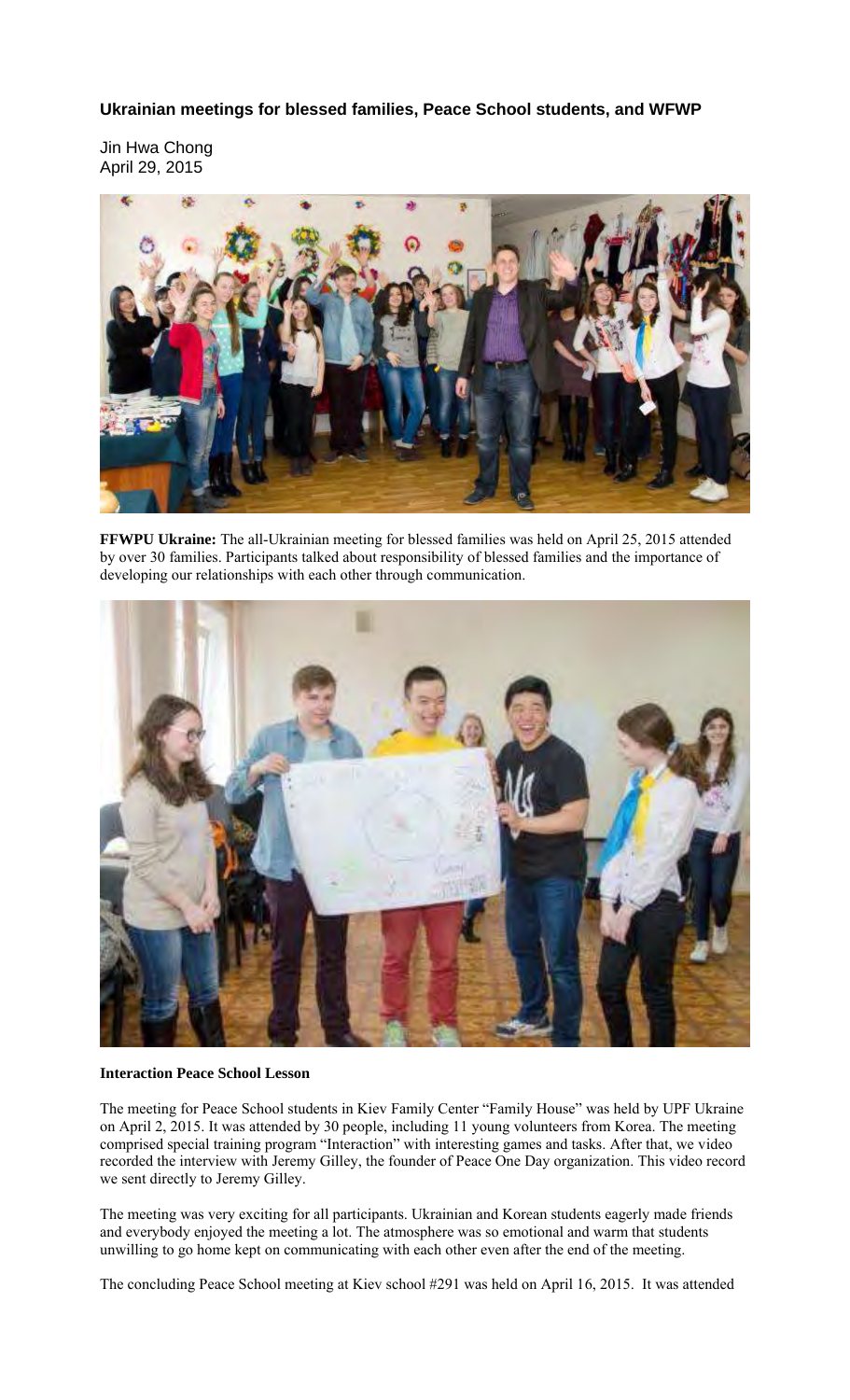**Ukrainian meetings for blessed families, Peace School students, and WFWP** 

Jin Hwa Chong April 29, 2015



**FFWPU Ukraine:** The all-Ukrainian meeting for blessed families was held on April 25, 2015 attended by over 30 families. Participants talked about responsibility of blessed families and the importance of developing our relationships with each other through communication.



## **Interaction Peace School Lesson**

The meeting for Peace School students in Kiev Family Center "Family House" was held by UPF Ukraine on April 2, 2015. It was attended by 30 people, including 11 young volunteers from Korea. The meeting comprised special training program "Interaction" with interesting games and tasks. After that, we video recorded the interview with Jeremy Gilley, the founder of Peace One Day organization. This video record we sent directly to Jeremy Gilley.

The meeting was very exciting for all participants. Ukrainian and Korean students eagerly made friends and everybody enjoyed the meeting a lot. The atmosphere was so emotional and warm that students unwilling to go home kept on communicating with each other even after the end of the meeting.

The concluding Peace School meeting at Kiev school #291 was held on April 16, 2015. It was attended